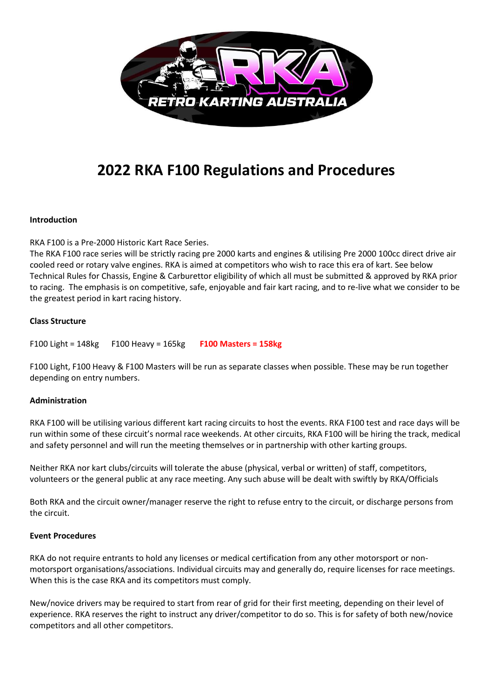

# **2022 RKA F100 Regulations and Procedures**

#### **Introduction**

RKA F100 is a Pre-2000 Historic Kart Race Series.

The RKA F100 race series will be strictly racing pre 2000 karts and engines & utilising Pre 2000 100cc direct drive air cooled reed or rotary valve engines. RKA is aimed at competitors who wish to race this era of kart. See below Technical Rules for Chassis, Engine & Carburettor eligibility of which all must be submitted & approved by RKA prior to racing. The emphasis is on competitive, safe, enjoyable and fair kart racing, and to re-live what we consider to be the greatest period in kart racing history.

#### **Class Structure**

F100 Light = 148kg F100 Heavy = 165kg **F100 Masters = 158kg**

F100 Light, F100 Heavy & F100 Masters will be run as separate classes when possible. These may be run together depending on entry numbers.

#### **Administration**

RKA F100 will be utilising various different kart racing circuits to host the events. RKA F100 test and race days will be run within some of these circuit's normal race weekends. At other circuits, RKA F100 will be hiring the track, medical and safety personnel and will run the meeting themselves or in partnership with other karting groups.

Neither RKA nor kart clubs/circuits will tolerate the abuse (physical, verbal or written) of staff, competitors, volunteers or the general public at any race meeting. Any such abuse will be dealt with swiftly by RKA/Officials

Both RKA and the circuit owner/manager reserve the right to refuse entry to the circuit, or discharge persons from the circuit.

#### **Event Procedures**

RKA do not require entrants to hold any licenses or medical certification from any other motorsport or nonmotorsport organisations/associations. Individual circuits may and generally do, require licenses for race meetings. When this is the case RKA and its competitors must comply.

New/novice drivers may be required to start from rear of grid for their first meeting, depending on their level of experience. RKA reserves the right to instruct any driver/competitor to do so. This is for safety of both new/novice competitors and all other competitors.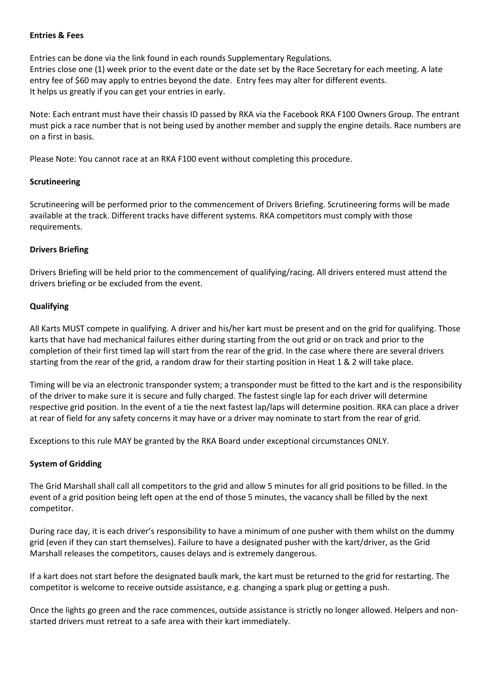#### **Entries & Fees**

Entries can be done via the link found in each rounds Supplementary Regulations. Entries close one (1) week prior to the event date or the date set by the Race Secretary for each meeting. A late entry fee of \$60 may apply to entries beyond the date. Entry fees may alter for different events. It helps us greatly if you can get your entries in early.

Note: Each entrant must have their chassis ID passed by RKA via the Facebook RKA F100 Owners Group. The entrant must pick a race number that is not being used by another member and supply the engine details. Race numbers are on a first in basis.

Please Note: You cannot race at an RKA F100 event without completing this procedure.

#### **Scrutineering**

Scrutineering will be performed prior to the commencement of Drivers Briefing. Scrutineering forms will be made available at the track. Different tracks have different systems. RKA competitors must comply with those requirements.

#### **Drivers Briefing**

Drivers Briefing will be held prior to the commencement of qualifying/racing. All drivers entered must attend the drivers briefing or be excluded from the event.

#### **Qualifying**

All Karts MUST compete in qualifying. A driver and his/her kart must be present and on the grid for qualifying. Those karts that have had mechanical failures either during starting from the out grid or on track and prior to the completion of their first timed lap will start from the rear of the grid. In the case where there are several drivers starting from the rear of the grid, a random draw for their starting position in Heat 1 & 2 will take place.

Timing will be via an electronic transponder system; a transponder must be fitted to the kart and is the responsibility of the driver to make sure it is secure and fully charged. The fastest single lap for each driver will determine respective grid position. In the event of a tie the next fastest lap/laps will determine position. RKA can place a driver at rear of field for any safety concerns it may have or a driver may nominate to start from the rear of grid.

Exceptions to this rule MAY be granted by the RKA Board under exceptional circumstances ONLY.

## **System of Gridding**

The Grid Marshall shall call all competitors to the grid and allow 5 minutes for all grid positions to be filled. In the event of a grid position being left open at the end of those 5 minutes, the vacancy shall be filled by the next competitor.

During race day, it is each driver's responsibility to have a minimum of one pusher with them whilst on the dummy grid (even if they can start themselves). Failure to have a designated pusher with the kart/driver, as the Grid Marshall releases the competitors, causes delays and is extremely dangerous.

If a kart does not start before the designated baulk mark, the kart must be returned to the grid for restarting. The competitor is welcome to receive outside assistance, e.g. changing a spark plug or getting a push.

Once the lights go green and the race commences, outside assistance is strictly no longer allowed. Helpers and nonstarted drivers must retreat to a safe area with their kart immediately.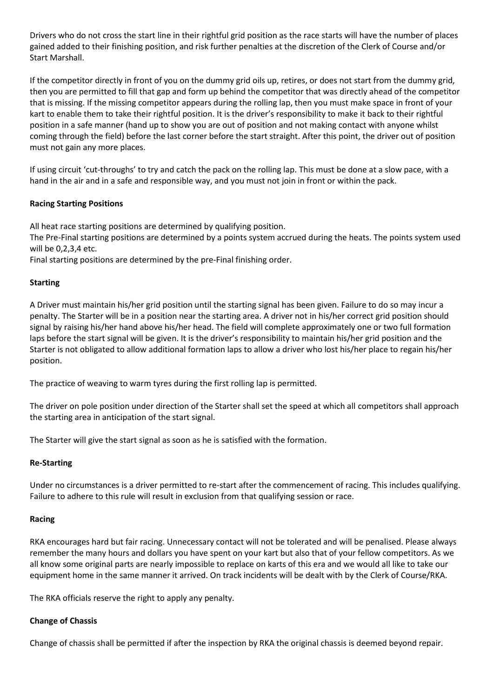Drivers who do not cross the start line in their rightful grid position as the race starts will have the number of places gained added to their finishing position, and risk further penalties at the discretion of the Clerk of Course and/or Start Marshall.

If the competitor directly in front of you on the dummy grid oils up, retires, or does not start from the dummy grid, then you are permitted to fill that gap and form up behind the competitor that was directly ahead of the competitor that is missing. If the missing competitor appears during the rolling lap, then you must make space in front of your kart to enable them to take their rightful position. It is the driver's responsibility to make it back to their rightful position in a safe manner (hand up to show you are out of position and not making contact with anyone whilst coming through the field) before the last corner before the start straight. After this point, the driver out of position must not gain any more places.

If using circuit 'cut-throughs' to try and catch the pack on the rolling lap. This must be done at a slow pace, with a hand in the air and in a safe and responsible way, and you must not join in front or within the pack.

#### **Racing Starting Positions**

All heat race starting positions are determined by qualifying position.

The Pre-Final starting positions are determined by a points system accrued during the heats. The points system used will be 0,2,3,4 etc.

Final starting positions are determined by the pre-Final finishing order.

#### **Starting**

A Driver must maintain his/her grid position until the starting signal has been given. Failure to do so may incur a penalty. The Starter will be in a position near the starting area. A driver not in his/her correct grid position should signal by raising his/her hand above his/her head. The field will complete approximately one or two full formation laps before the start signal will be given. It is the driver's responsibility to maintain his/her grid position and the Starter is not obligated to allow additional formation laps to allow a driver who lost his/her place to regain his/her position.

The practice of weaving to warm tyres during the first rolling lap is permitted.

The driver on pole position under direction of the Starter shall set the speed at which all competitors shall approach the starting area in anticipation of the start signal.

The Starter will give the start signal as soon as he is satisfied with the formation.

#### **Re-Starting**

Under no circumstances is a driver permitted to re-start after the commencement of racing. This includes qualifying. Failure to adhere to this rule will result in exclusion from that qualifying session or race.

#### **Racing**

RKA encourages hard but fair racing. Unnecessary contact will not be tolerated and will be penalised. Please always remember the many hours and dollars you have spent on your kart but also that of your fellow competitors. As we all know some original parts are nearly impossible to replace on karts of this era and we would all like to take our equipment home in the same manner it arrived. On track incidents will be dealt with by the Clerk of Course/RKA.

The RKA officials reserve the right to apply any penalty.

#### **Change of Chassis**

Change of chassis shall be permitted if after the inspection by RKA the original chassis is deemed beyond repair.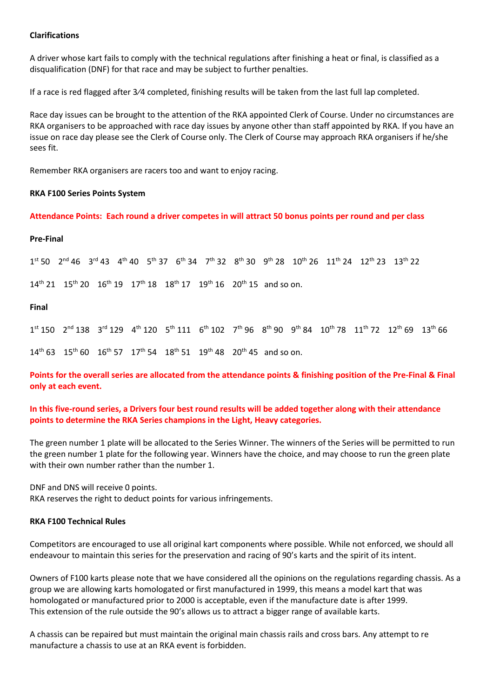#### **Clarifications**

A driver whose kart fails to comply with the technical regulations after finishing a heat or final, is classified as a disqualification (DNF) for that race and may be subject to further penalties.

If a race is red flagged after 3⁄4 completed, finishing results will be taken from the last full lap completed.

Race day issues can be brought to the attention of the RKA appointed Clerk of Course. Under no circumstances are RKA organisers to be approached with race day issues by anyone other than staff appointed by RKA. If you have an issue on race day please see the Clerk of Course only. The Clerk of Course may approach RKA organisers if he/she sees fit.

Remember RKA organisers are racers too and want to enjoy racing.

#### **RKA F100 Series Points System**

**Attendance Points: Each round a driver competes in will attract 50 bonus points per round and per class**

#### **Pre-Final**

 $1^{\text{st}}$  50  $2^{\text{nd}}$  46  $3^{\text{rd}}$  43  $4^{\text{th}}$  40  $5^{\text{th}}$  37  $6^{\text{th}}$  34  $7^{\text{th}}$  32  $8^{\text{th}}$  30  $9^{\text{th}}$  28  $10^{\text{th}}$  26  $11^{\text{th}}$  24  $12^{\text{th}}$  23  $13^{\text{th}}$  22

 $14^{th}$  21  $15^{th}$  20  $16^{th}$  19  $17^{th}$  18  $18^{th}$  17  $19^{th}$  16  $20^{th}$  15 and so on.

#### **Final**

 $1^{\text{st}}$  150  $2^{\text{nd}}$  138  $3^{\text{rd}}$  129  $4^{\text{th}}$  120  $5^{\text{th}}$  111  $6^{\text{th}}$  102  $7^{\text{th}}$  96  $8^{\text{th}}$  90  $9^{\text{th}}$  84  $10^{\text{th}}$  78  $11^{\text{th}}$  72  $12^{\text{th}}$  69  $13^{\text{th}}$  66  $14^{th}$  63 15<sup>th</sup> 60 16<sup>th</sup> 57 17<sup>th</sup> 54 18<sup>th</sup> 51 19<sup>th</sup> 48 20<sup>th</sup> 45 and so on.

**Points for the overall series are allocated from the attendance points & finishing position of the Pre-Final & Final only at each event.** 

#### **In this five-round series, a Drivers four best round results will be added together along with their attendance points to determine the RKA Series champions in the Light, Heavy categories.**

The green number 1 plate will be allocated to the Series Winner. The winners of the Series will be permitted to run the green number 1 plate for the following year. Winners have the choice, and may choose to run the green plate with their own number rather than the number 1.

DNF and DNS will receive 0 points.

RKA reserves the right to deduct points for various infringements.

#### **RKA F100 Technical Rules**

Competitors are encouraged to use all original kart components where possible. While not enforced, we should all endeavour to maintain this series for the preservation and racing of 90's karts and the spirit of its intent.

Owners of F100 karts please note that we have considered all the opinions on the regulations regarding chassis. As a group we are allowing karts homologated or first manufactured in 1999, this means a model kart that was homologated or manufactured prior to 2000 is acceptable, even if the manufacture date is after 1999. This extension of the rule outside the 90's allows us to attract a bigger range of available karts.

A chassis can be repaired but must maintain the original main chassis rails and cross bars. Any attempt to re manufacture a chassis to use at an RKA event is forbidden.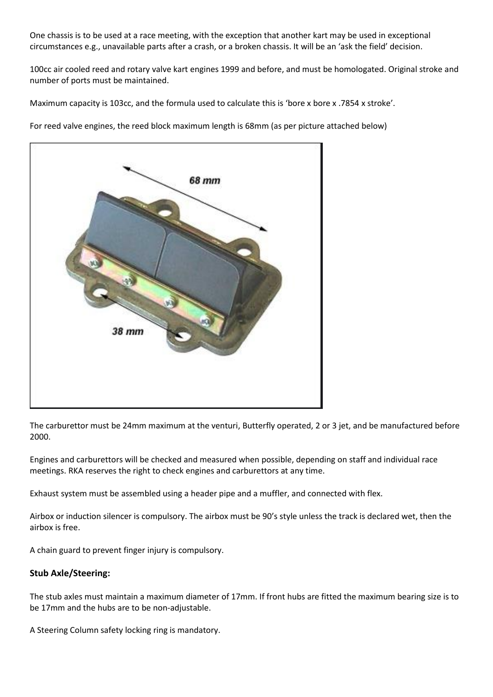One chassis is to be used at a race meeting, with the exception that another kart may be used in exceptional circumstances e.g., unavailable parts after a crash, or a broken chassis. It will be an 'ask the field' decision.

100cc air cooled reed and rotary valve kart engines 1999 and before, and must be homologated. Original stroke and number of ports must be maintained.

Maximum capacity is 103cc, and the formula used to calculate this is 'bore x bore x .7854 x stroke'.

For reed valve engines, the reed block maximum length is 68mm (as per picture attached below)



The carburettor must be 24mm maximum at the venturi, Butterfly operated, 2 or 3 jet, and be manufactured before 2000.

Engines and carburettors will be checked and measured when possible, depending on staff and individual race meetings. RKA reserves the right to check engines and carburettors at any time.

Exhaust system must be assembled using a header pipe and a muffler, and connected with flex.

Airbox or induction silencer is compulsory. The airbox must be 90's style unless the track is declared wet, then the airbox is free.

A chain guard to prevent finger injury is compulsory.

## **Stub Axle/Steering:**

The stub axles must maintain a maximum diameter of 17mm. If front hubs are fitted the maximum bearing size is to be 17mm and the hubs are to be non-adjustable.

A Steering Column safety locking ring is mandatory.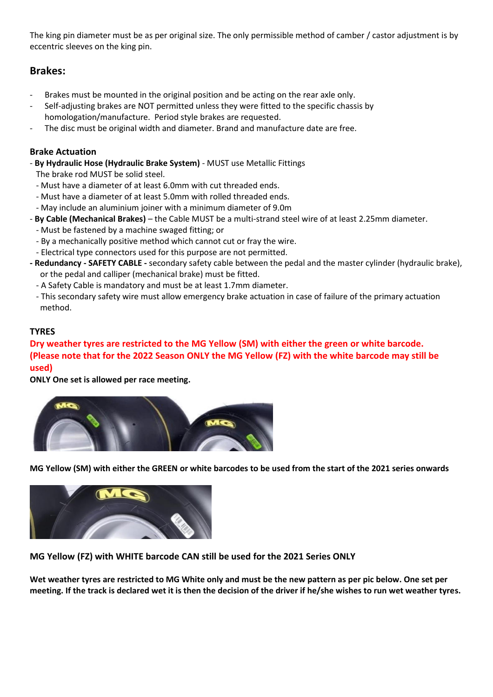The king pin diameter must be as per original size. The only permissible method of camber / castor adjustment is by eccentric sleeves on the king pin.

# **Brakes:**

- Brakes must be mounted in the original position and be acting on the rear axle only.
- Self-adjusting brakes are NOT permitted unless they were fitted to the specific chassis by homologation/manufacture. Period style brakes are requested.
- The disc must be original width and diameter. Brand and manufacture date are free.

# **Brake Actuation**

- **By Hydraulic Hose (Hydraulic Brake System)** MUST use Metallic Fittings
	- The brake rod MUST be solid steel.
	- Must have a diameter of at least 6.0mm with cut threaded ends.
	- Must have a diameter of at least 5.0mm with rolled threaded ends.
- May include an aluminium joiner with a minimum diameter of 9.0m
- **By Cable (Mechanical Brakes)** the Cable MUST be a multi-strand steel wire of at least 2.25mm diameter.
	- Must be fastened by a machine swaged fitting; or
	- By a mechanically positive method which cannot cut or fray the wire.
	- Electrical type connectors used for this purpose are not permitted.
- **- Redundancy - SAFETY CABLE -** secondary safety cable between the pedal and the master cylinder (hydraulic brake), or the pedal and calliper (mechanical brake) must be fitted.
	- A Safety Cable is mandatory and must be at least 1.7mm diameter.
	- This secondary safety wire must allow emergency brake actuation in case of failure of the primary actuation method.

# **TYRES**

# **Dry weather tyres are restricted to the MG Yellow (SM) with either the green or white barcode. (Please note that for the 2022 Season ONLY the MG Yellow (FZ) with the white barcode may still be used)**

**ONLY One set is allowed per race meeting.** 



**MG Yellow (SM) with either the GREEN or white barcodes to be used from the start of the 2021 series onwards**



**MG Yellow (FZ) with WHITE barcode CAN still be used for the 2021 Series ONLY**

**Wet weather tyres are restricted to MG White only and must be the new pattern as per pic below. One set per meeting. If the track is declared wet it is then the decision of the driver if he/she wishes to run wet weather tyres.**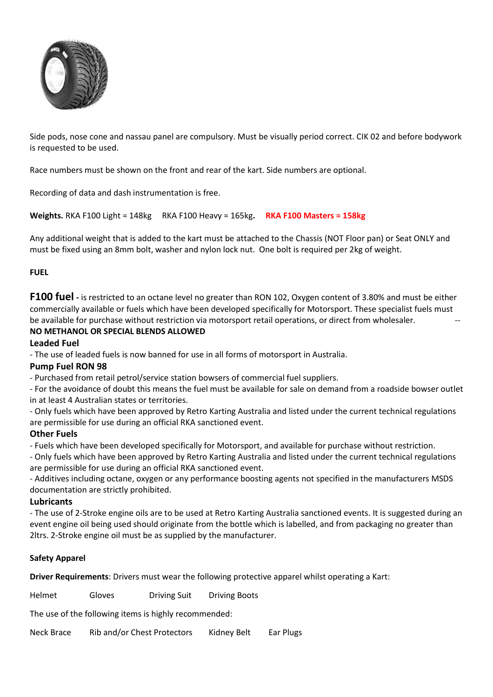

Side pods, nose cone and nassau panel are compulsory. Must be visually period correct. CIK 02 and before bodywork is requested to be used.

Race numbers must be shown on the front and rear of the kart. Side numbers are optional.

Recording of data and dash instrumentation is free.

**Weights.** RKA F100 Light = 148kg RKA F100 Heavy = 165kg**. RKA F100 Masters = 158kg**

Any additional weight that is added to the kart must be attached to the Chassis (NOT Floor pan) or Seat ONLY and must be fixed using an 8mm bolt, washer and nylon lock nut. One bolt is required per 2kg of weight.

#### **FUEL**

**F100 fuel -** is restricted to an octane level no greater than RON 102, Oxygen content of 3.80% and must be either commercially available or fuels which have been developed specifically for Motorsport. These specialist fuels must be available for purchase without restriction via motorsport retail operations, or direct from wholesaler.

## **NO METHANOL OR SPECIAL BLENDS ALLOWED**

#### **Leaded Fuel**

- The use of leaded fuels is now banned for use in all forms of motorsport in Australia.

## **Pump Fuel RON 98**

- Purchased from retail petrol/service station bowsers of commercial fuel suppliers.

- For the avoidance of doubt this means the fuel must be available for sale on demand from a roadside bowser outlet in at least 4 Australian states or territories.

- Only fuels which have been approved by Retro Karting Australia and listed under the current technical regulations are permissible for use during an official RKA sanctioned event.

#### **Other Fuels**

- Fuels which have been developed specifically for Motorsport, and available for purchase without restriction.

- Only fuels which have been approved by Retro Karting Australia and listed under the current technical regulations are permissible for use during an official RKA sanctioned event.

- Additives including octane, oxygen or any performance boosting agents not specified in the manufacturers MSDS documentation are strictly prohibited.

#### **Lubricants**

- The use of 2-Stroke engine oils are to be used at Retro Karting Australia sanctioned events. It is suggested during an event engine oil being used should originate from the bottle which is labelled, and from packaging no greater than 2ltrs. 2-Stroke engine oil must be as supplied by the manufacturer.

#### **Safety Apparel**

**Driver Requirements**: Drivers must wear the following protective apparel whilst operating a Kart:

Helmet Gloves Driving Suit Driving Boots

The use of the following items is highly recommended:

Neck Brace Rib and/or Chest Protectors Kidney Belt Ear Plugs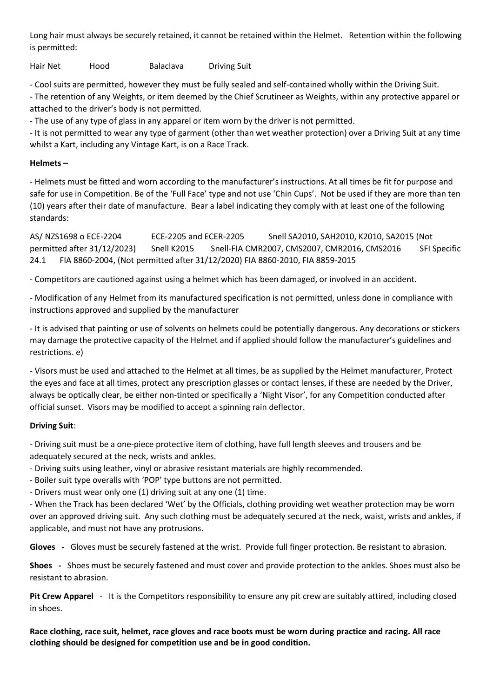Long hair must always be securely retained, it cannot be retained within the Helmet. Retention within the following is permitted:

Hair Net Hood Balaclava Driving Suit

- Cool suits are permitted, however they must be fully sealed and self-contained wholly within the Driving Suit.

- The retention of any Weights, or item deemed by the Chief Scrutineer as Weights, within any protective apparel or attached to the driver's body is not permitted.

- The use of any type of glass in any apparel or item worn by the driver is not permitted.

- It is not permitted to wear any type of garment (other than wet weather protection) over a Driving Suit at any time whilst a Kart, including any Vintage Kart, is on a Race Track.

# **Helmets –**

- Helmets must be fitted and worn according to the manufacturer's instructions. At all times be fit for purpose and safe for use in Competition. Be of the 'Full Face' type and not use 'Chin Cups'. Not be used if they are more than ten (10) years after their date of manufacture. Bear a label indicating they comply with at least one of the following standards:

AS/ NZS1698 o ECE-2204 ECE-2205 and ECER-2205 Snell SA2010, SAH2010, K2010, SA2015 (Not permitted after 31/12/2023) Snell K2015 Snell-FIA CMR2007, CMS2007, CMR2016, CMS2016 SFI Specific 24.1 FIA 8860-2004, (Not permitted after 31/12/2020) FIA 8860-2010, FIA 8859-2015

- Competitors are cautioned against using a helmet which has been damaged, or involved in an accident.

- Modification of any Helmet from its manufactured specification is not permitted, unless done in compliance with instructions approved and supplied by the manufacturer

- It is advised that painting or use of solvents on helmets could be potentially dangerous. Any decorations or stickers may damage the protective capacity of the Helmet and if applied should follow the manufacturer's guidelines and restrictions. e)

- Visors must be used and attached to the Helmet at all times, be as supplied by the Helmet manufacturer, Protect the eyes and face at all times, protect any prescription glasses or contact lenses, if these are needed by the Driver, always be optically clear, be either non-tinted or specifically a 'Night Visor', for any Competition conducted after official sunset. Visors may be modified to accept a spinning rain deflector.

# **Driving Suit**:

- Driving suit must be a one-piece protective item of clothing, have full length sleeves and trousers and be adequately secured at the neck, wrists and ankles.

- Driving suits using leather, vinyl or abrasive resistant materials are highly recommended.

- Boiler suit type overalls with 'POP' type buttons are not permitted.

- Drivers must wear only one (1) driving suit at any one (1) time.

- When the Track has been declared 'Wet' by the Officials, clothing providing wet weather protection may be worn over an approved driving suit. Any such clothing must be adequately secured at the neck, waist, wrists and ankles, if applicable, and must not have any protrusions.

**Gloves -** Gloves must be securely fastened at the wrist. Provide full finger protection. Be resistant to abrasion.

**Shoes -** Shoes must be securely fastened and must cover and provide protection to the ankles. Shoes must also be resistant to abrasion.

**Pit Crew Apparel** - It is the Competitors responsibility to ensure any pit crew are suitably attired, including closed in shoes.

**Race clothing, race suit, helmet, race gloves and race boots must be worn during practice and racing. All race clothing should be designed for competition use and be in good condition.**